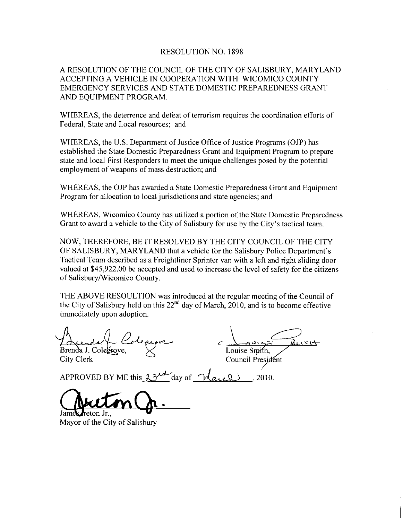## RESOLUTION NO 1898

A RESOLUTION OF THE COUNCIL OF THE CITY OF SALISBURY MARYLAND ACCEPTINGA VEHICLE IN COOPERATION WITH WICOMICO COUNTY EMERGENCY SERVICES AND STATE DOMESTIC PREPAREDNESS GRANT AND EQUIPMENT PROGRAM

WHEREAS, the deterrence and defeat of terrorism requires the coordination efforts of Federal, State and Local resources; and

WHEREAS, the U.S. Department of Justice Office of Justice Programs (OJP) has established the State Domestic Preparedness Grant and Equipment Program to prepaze state and local First Responders to meet the unique challenges posed by the potential employment of weapons of mass destruction; and

WHEREAS, the OJP has awarded a State Domestic Preparedness Grant and Equipment Program for allocation to local jurisdictions and state agencies; and

WHEREAS, Wicomico County has utilized a portion of the State Domestic Preparedness Grant to anti-culture to county has utilized a portion of the State Don<br>Grant to award a vehicle to the City of Salisbury for use by the City's Grant to award a vehicle to the City of Salisbury for use by the City's tactical team.

NOW, THEREFORE, BE IT RESOLVED BY THE CITY COUNCIL OF THE CITY OF SALISBURY, MARYLAND that a vehicle for the Salisbury Police Tactical Team described as a Freightliner Sprinter van with a left and right sliding door stic Preparedreficial team.<br>DF THE CITY<br>Department's<br>the sliding door for the citize valued at \$45,922.00 be accepted and used to increase the level of safety for the citizens of Salisbury/Wicomico County.

THE ABOVE RESOULTION was introduced at the regular meeting of the Council of the City of Salisbury held on this  $22<sup>nd</sup>$  day of March, 2010, and is to become effective immediately upon adoption

Brenda J. Colegrove,  $\leq$  Louise Smith, City Clerk Council Presidents

Council President

immediately upon adoption.<br>
A<br>
A<br>
Brenda J. Colegrove,<br>
City Clerk Council Preside<br>
APPROVED BY ME this  $3^{3}$ <br>
Council Preside<br>
APPROVED BY ME this  $3^{3}$ <br>
day of March 9.2010.

heton Jr..

Mayor of the City of Salisbury